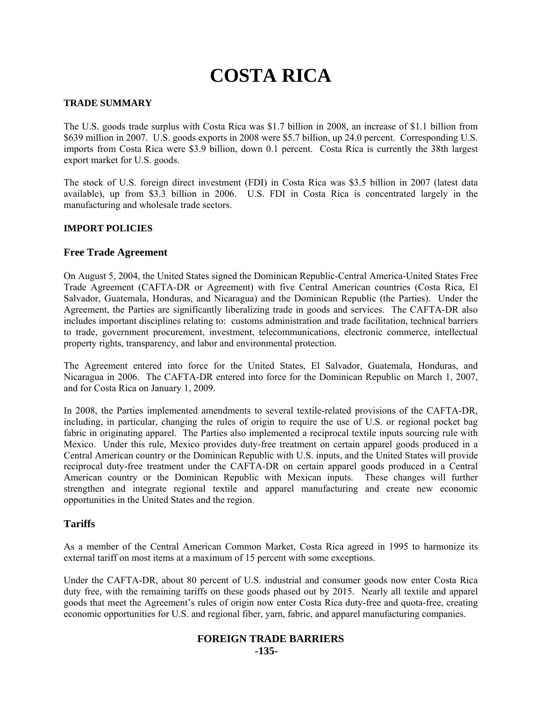# **COSTA RICA**

## **TRADE SUMMARY**

The U.S. goods trade surplus with Costa Rica was \$1.7 billion in 2008, an increase of \$1.1 billion from \$639 million in 2007. U.S. goods exports in 2008 were \$5.7 billion, up 24.0 percent. Corresponding U.S. imports from Costa Rica were \$3.9 billion, down 0.1 percent. Costa Rica is currently the 38th largest export market for U.S. goods.

The stock of U.S. foreign direct investment (FDI) in Costa Rica was \$3.5 billion in 2007 (latest data available), up from \$3.3 billion in 2006. U.S. FDI in Costa Rica is concentrated largely in the manufacturing and wholesale trade sectors.

## **IMPORT POLICIES**

#### **Free Trade Agreement**

On August 5, 2004, the United States signed the Dominican Republic-Central America-United States Free Trade Agreement (CAFTA-DR or Agreement) with five Central American countries (Costa Rica, El Salvador, Guatemala, Honduras, and Nicaragua) and the Dominican Republic (the Parties). Under the Agreement, the Parties are significantly liberalizing trade in goods and services. The CAFTA-DR also includes important disciplines relating to: customs administration and trade facilitation, technical barriers to trade, government procurement, investment, telecommunications, electronic commerce, intellectual property rights, transparency, and labor and environmental protection.

The Agreement entered into force for the United States, El Salvador, Guatemala, Honduras, and Nicaragua in 2006. The CAFTA-DR entered into force for the Dominican Republic on March 1, 2007, and for Costa Rica on January 1, 2009.

In 2008, the Parties implemented amendments to several textile-related provisions of the CAFTA-DR, including, in particular, changing the rules of origin to require the use of U.S. or regional pocket bag fabric in originating apparel. The Parties also implemented a reciprocal textile inputs sourcing rule with Mexico. Under this rule, Mexico provides duty-free treatment on certain apparel goods produced in a Central American country or the Dominican Republic with U.S. inputs, and the United States will provide reciprocal duty-free treatment under the CAFTA-DR on certain apparel goods produced in a Central American country or the Dominican Republic with Mexican inputs. These changes will further strengthen and integrate regional textile and apparel manufacturing and create new economic opportunities in the United States and the region.

## **Tariffs**

As a member of the Central American Common Market, Costa Rica agreed in 1995 to harmonize its external tariff on most items at a maximum of 15 percent with some exceptions.

Under the CAFTA-DR, about 80 percent of U.S. industrial and consumer goods now enter Costa Rica duty free, with the remaining tariffs on these goods phased out by 2015. Nearly all textile and apparel goods that meet the Agreement's rules of origin now enter Costa Rica duty-free and quota-free, creating economic opportunities for U.S. and regional fiber, yarn, fabric, and apparel manufacturing companies.

# **FOREIGN TRADE BARRIERS -135-**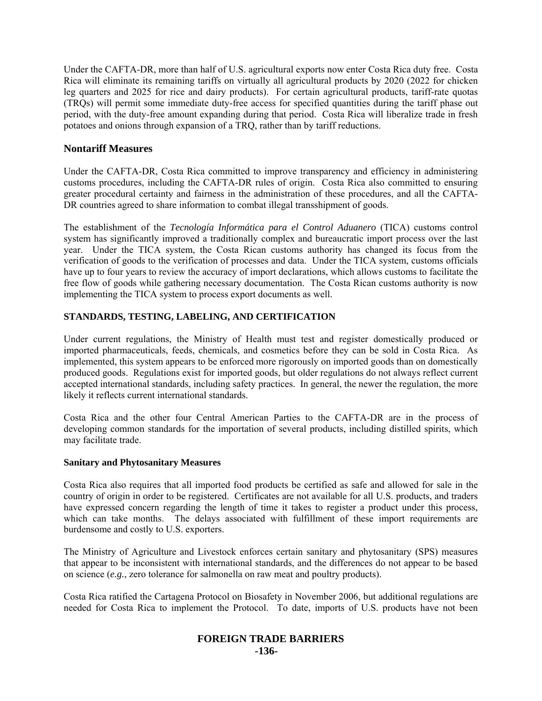Under the CAFTA-DR, more than half of U.S. agricultural exports now enter Costa Rica duty free. Costa Rica will eliminate its remaining tariffs on virtually all agricultural products by 2020 (2022 for chicken leg quarters and 2025 for rice and dairy products). For certain agricultural products, tariff-rate quotas (TRQs) will permit some immediate duty-free access for specified quantities during the tariff phase out period, with the duty-free amount expanding during that period. Costa Rica will liberalize trade in fresh potatoes and onions through expansion of a TRQ, rather than by tariff reductions.

## **Nontariff Measures**

Under the CAFTA-DR, Costa Rica committed to improve transparency and efficiency in administering customs procedures, including the CAFTA-DR rules of origin. Costa Rica also committed to ensuring greater procedural certainty and fairness in the administration of these procedures, and all the CAFTA-DR countries agreed to share information to combat illegal transshipment of goods.

The establishment of the *Tecnología Informática para el Control Aduanero* (TICA) customs control system has significantly improved a traditionally complex and bureaucratic import process over the last year. Under the TICA system, the Costa Rican customs authority has changed its focus from the verification of goods to the verification of processes and data. Under the TICA system, customs officials have up to four years to review the accuracy of import declarations, which allows customs to facilitate the free flow of goods while gathering necessary documentation. The Costa Rican customs authority is now implementing the TICA system to process export documents as well.

## **STANDARDS, TESTING, LABELING, AND CERTIFICATION**

Under current regulations, the Ministry of Health must test and register domestically produced or imported pharmaceuticals, feeds, chemicals, and cosmetics before they can be sold in Costa Rica. As implemented, this system appears to be enforced more rigorously on imported goods than on domestically produced goods. Regulations exist for imported goods, but older regulations do not always reflect current accepted international standards, including safety practices. In general, the newer the regulation, the more likely it reflects current international standards.

Costa Rica and the other four Central American Parties to the CAFTA-DR are in the process of developing common standards for the importation of several products, including distilled spirits, which may facilitate trade.

#### **Sanitary and Phytosanitary Measures**

Costa Rica also requires that all imported food products be certified as safe and allowed for sale in the country of origin in order to be registered. Certificates are not available for all U.S. products, and traders have expressed concern regarding the length of time it takes to register a product under this process, which can take months. The delays associated with fulfillment of these import requirements are burdensome and costly to U.S. exporters.

The Ministry of Agriculture and Livestock enforces certain sanitary and phytosanitary (SPS) measures that appear to be inconsistent with international standards, and the differences do not appear to be based on science (*e.g.*, zero tolerance for salmonella on raw meat and poultry products).

Costa Rica ratified the Cartagena Protocol on Biosafety in November 2006, but additional regulations are needed for Costa Rica to implement the Protocol. To date, imports of U.S. products have not been

## **FOREIGN TRADE BARRIERS -136-**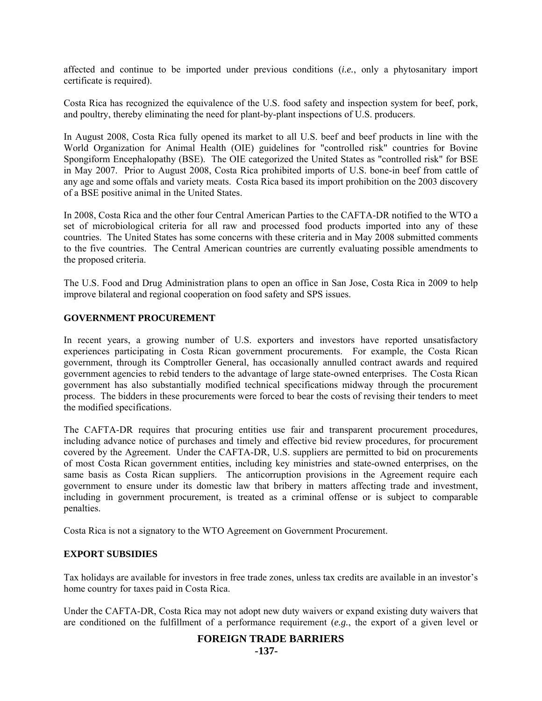affected and continue to be imported under previous conditions (*i.e.*, only a phytosanitary import certificate is required).

Costa Rica has recognized the equivalence of the U.S. food safety and inspection system for beef, pork, and poultry, thereby eliminating the need for plant-by-plant inspections of U.S. producers.

In August 2008, Costa Rica fully opened its market to all U.S. beef and beef products in line with the World Organization for Animal Health (OIE) guidelines for "controlled risk" countries for Bovine Spongiform Encephalopathy (BSE). The OIE categorized the United States as "controlled risk" for BSE in May 2007. Prior to August 2008, Costa Rica prohibited imports of U.S. bone-in beef from cattle of any age and some offals and variety meats. Costa Rica based its import prohibition on the 2003 discovery of a BSE positive animal in the United States.

In 2008, Costa Rica and the other four Central American Parties to the CAFTA-DR notified to the WTO a set of microbiological criteria for all raw and processed food products imported into any of these countries. The United States has some concerns with these criteria and in May 2008 submitted comments to the five countries. The Central American countries are currently evaluating possible amendments to the proposed criteria.

The U.S. Food and Drug Administration plans to open an office in San Jose, Costa Rica in 2009 to help improve bilateral and regional cooperation on food safety and SPS issues.

#### **GOVERNMENT PROCUREMENT**

In recent years, a growing number of U.S. exporters and investors have reported unsatisfactory experiences participating in Costa Rican government procurements. For example, the Costa Rican government, through its Comptroller General, has occasionally annulled contract awards and required government agencies to rebid tenders to the advantage of large state-owned enterprises. The Costa Rican government has also substantially modified technical specifications midway through the procurement process. The bidders in these procurements were forced to bear the costs of revising their tenders to meet the modified specifications.

The CAFTA-DR requires that procuring entities use fair and transparent procurement procedures, including advance notice of purchases and timely and effective bid review procedures, for procurement covered by the Agreement. Under the CAFTA-DR, U.S. suppliers are permitted to bid on procurements of most Costa Rican government entities, including key ministries and state-owned enterprises, on the same basis as Costa Rican suppliers. The anticorruption provisions in the Agreement require each government to ensure under its domestic law that bribery in matters affecting trade and investment, including in government procurement, is treated as a criminal offense or is subject to comparable penalties.

Costa Rica is not a signatory to the WTO Agreement on Government Procurement.

#### **EXPORT SUBSIDIES**

Tax holidays are available for investors in free trade zones, unless tax credits are available in an investor's home country for taxes paid in Costa Rica.

Under the CAFTA-DR, Costa Rica may not adopt new duty waivers or expand existing duty waivers that are conditioned on the fulfillment of a performance requirement (*e.g.*, the export of a given level or

# **FOREIGN TRADE BARRIERS**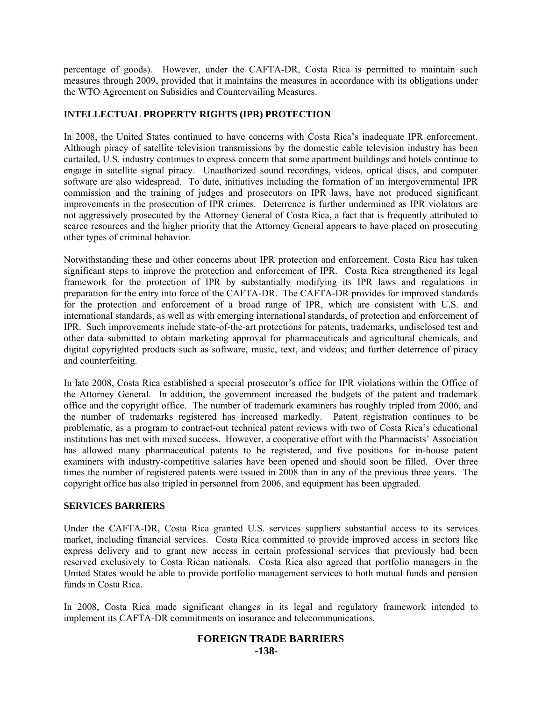percentage of goods). However, under the CAFTA-DR, Costa Rica is permitted to maintain such measures through 2009, provided that it maintains the measures in accordance with its obligations under the WTO Agreement on Subsidies and Countervailing Measures.

## **INTELLECTUAL PROPERTY RIGHTS (IPR) PROTECTION**

In 2008, the United States continued to have concerns with Costa Rica's inadequate IPR enforcement. Although piracy of satellite television transmissions by the domestic cable television industry has been curtailed, U.S. industry continues to express concern that some apartment buildings and hotels continue to engage in satellite signal piracy. Unauthorized sound recordings, videos, optical discs, and computer software are also widespread. To date, initiatives including the formation of an intergovernmental IPR commission and the training of judges and prosecutors on IPR laws, have not produced significant improvements in the prosecution of IPR crimes. Deterrence is further undermined as IPR violators are not aggressively prosecuted by the Attorney General of Costa Rica, a fact that is frequently attributed to scarce resources and the higher priority that the Attorney General appears to have placed on prosecuting other types of criminal behavior.

Notwithstanding these and other concerns about IPR protection and enforcement, Costa Rica has taken significant steps to improve the protection and enforcement of IPR. Costa Rica strengthened its legal framework for the protection of IPR by substantially modifying its IPR laws and regulations in preparation for the entry into force of the CAFTA-DR. The CAFTA-DR provides for improved standards for the protection and enforcement of a broad range of IPR, which are consistent with U.S. and international standards, as well as with emerging international standards, of protection and enforcement of IPR. Such improvements include state-of-the-art protections for patents, trademarks, undisclosed test and other data submitted to obtain marketing approval for pharmaceuticals and agricultural chemicals, and digital copyrighted products such as software, music, text, and videos; and further deterrence of piracy and counterfeiting.

In late 2008, Costa Rica established a special prosecutor's office for IPR violations within the Office of the Attorney General. In addition, the government increased the budgets of the patent and trademark office and the copyright office. The number of trademark examiners has roughly tripled from 2006, and the number of trademarks registered has increased markedly. Patent registration continues to be problematic, as a program to contract-out technical patent reviews with two of Costa Rica's educational institutions has met with mixed success. However, a cooperative effort with the Pharmacists' Association has allowed many pharmaceutical patents to be registered, and five positions for in-house patent examiners with industry-competitive salaries have been opened and should soon be filled. Over three times the number of registered patents were issued in 2008 than in any of the previous three years. The copyright office has also tripled in personnel from 2006, and equipment has been upgraded.

## **SERVICES BARRIERS**

Under the CAFTA-DR, Costa Rica granted U.S. services suppliers substantial access to its services market, including financial services. Costa Rica committed to provide improved access in sectors like express delivery and to grant new access in certain professional services that previously had been reserved exclusively to Costa Rican nationals. Costa Rica also agreed that portfolio managers in the United States would be able to provide portfolio management services to both mutual funds and pension funds in Costa Rica.

In 2008, Costa Rica made significant changes in its legal and regulatory framework intended to implement its CAFTA-DR commitments on insurance and telecommunications.

#### **FOREIGN TRADE BARRIERS -138-**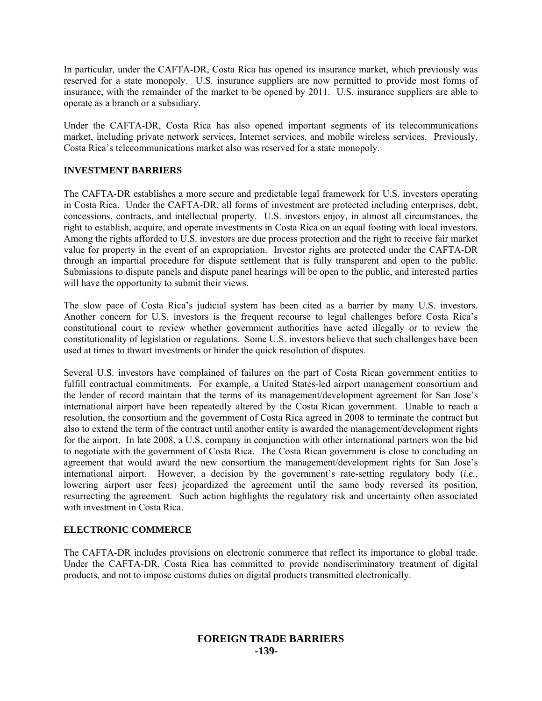In particular, under the CAFTA-DR, Costa Rica has opened its insurance market, which previously was reserved for a state monopoly. U.S. insurance suppliers are now permitted to provide most forms of insurance, with the remainder of the market to be opened by 2011. U.S. insurance suppliers are able to operate as a branch or a subsidiary.

Under the CAFTA-DR, Costa Rica has also opened important segments of its telecommunications market, including private network services, Internet services, and mobile wireless services. Previously, Costa Rica's telecommunications market also was reserved for a state monopoly.

## **INVESTMENT BARRIERS**

The CAFTA-DR establishes a more secure and predictable legal framework for U.S. investors operating in Costa Rica. Under the CAFTA-DR, all forms of investment are protected including enterprises, debt, concessions, contracts, and intellectual property. U.S. investors enjoy, in almost all circumstances, the right to establish, acquire, and operate investments in Costa Rica on an equal footing with local investors. Among the rights afforded to U.S. investors are due process protection and the right to receive fair market value for property in the event of an expropriation. Investor rights are protected under the CAFTA-DR through an impartial procedure for dispute settlement that is fully transparent and open to the public. Submissions to dispute panels and dispute panel hearings will be open to the public, and interested parties will have the opportunity to submit their views.

The slow pace of Costa Rica's judicial system has been cited as a barrier by many U.S. investors. Another concern for U.S. investors is the frequent recourse to legal challenges before Costa Rica's constitutional court to review whether government authorities have acted illegally or to review the constitutionality of legislation or regulations. Some U.S. investors believe that such challenges have been used at times to thwart investments or hinder the quick resolution of disputes.

Several U.S. investors have complained of failures on the part of Costa Rican government entities to fulfill contractual commitments. For example, a United States-led airport management consortium and the lender of record maintain that the terms of its management/development agreement for San Jose's international airport have been repeatedly altered by the Costa Rican government. Unable to reach a resolution, the consortium and the government of Costa Rica agreed in 2008 to terminate the contract but also to extend the term of the contract until another entity is awarded the management/development rights for the airport. In late 2008, a U.S. company in conjunction with other international partners won the bid to negotiate with the government of Costa Rica. The Costa Rican government is close to concluding an agreement that would award the new consortium the management/development rights for San Jose's international airport. However, a decision by the government's rate-setting regulatory body (*i.e.*, lowering airport user fees) jeopardized the agreement until the same body reversed its position, resurrecting the agreement. Such action highlights the regulatory risk and uncertainty often associated with investment in Costa Rica.

## **ELECTRONIC COMMERCE**

The CAFTA-DR includes provisions on electronic commerce that reflect its importance to global trade. Under the CAFTA-DR, Costa Rica has committed to provide nondiscriminatory treatment of digital products, and not to impose customs duties on digital products transmitted electronically.